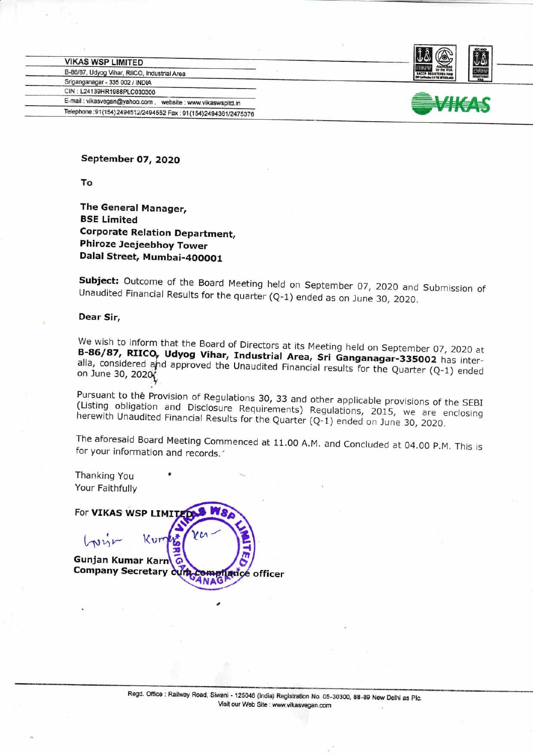| B-86/87, Udyog Vihar, RIICO, Industrial Area                    |
|-----------------------------------------------------------------|
|                                                                 |
| CIN: L24139HR1988PLC030300                                      |
| E-mail: vikasvegan@yahoo.com,<br>website : www.vikaswspltd.in   |
| Telephone: 91(154) 2494512/2494552 Fax: 91(154) 2494361/2475376 |
|                                                                 |





September 07,2O2O

To

The General Manager, BSE Limited Corporate Relation Department, Phiroze Jeejeebhoy Tower Dalal Street, Mumbai-4OOOO1

**Subject:** Outcome of the Board Meeting held on September 07, 2020 and Submission of Unaudited Financial Results for the quarter (Q-1) ended as on June 30, 2020.

## Dear Sir,

We wish to inform that the Board of Directors at its Meeting held on September 07, 2020 at<br>**B-86/87, RIICO, Ildvog Vibar, Industrial Augustic** B-86/87, RIICO, Udyog Vihar, Industrial Area, Sri Ganganagar-335002 has inter-<br>alia, considered and approved the Unaudited Figures of Ganganagar-335002 has interalia, considered and approved the Unaudited Financial results for the Quarter (Q-1) ended<br>on June 30, 2020 on June 30, 2020

(Listing Pursuant to thé Provision of Regulations 30, 33 and other applicable provisions of the SEBI<br>(Listing obligation and Disclosure Requirements) Regulations, 2015, we are enclosing<br>herewith Unaudited Financial Results for the

The aforesaid Board Meeting Commenced at 11.00 A.M. and Concluded at 04.00 P.M. This is for your information and records.

Thanking You Your Faithfully

For VIKAS WSP LIMIT **THE REAL PROPERTY**  $\boldsymbol{\zeta}$  $L$ prin  $\mathcal{X}_{121}$  $\frac{5}{2}$ Gunjan Kumar Gunjan Kumar Karn G.<br>Company Secretary cump compliance officer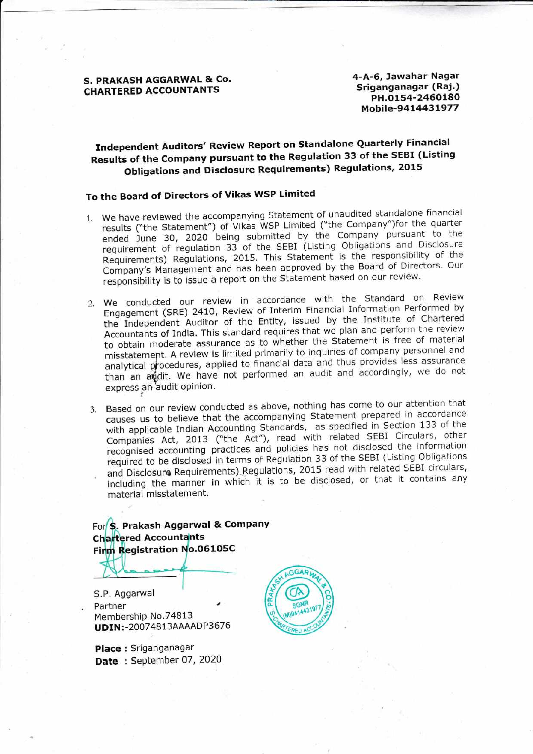S. PRAKASH AGGARWAL & CO. CHARTERED ACCOUNTANTS

4-A-6, Jawahar Nagar Sriganganagar (Raj.) PH.O1s4-2460180 Mobile-94t443t977

## Independent Auditors' Review Report on standalone Quarterly Financial Results of the company pursuant to the Regulation 33 of the sEBI (Listing Obligations and Disclosure Requirements) Regulations, 2015

## To the Board of Directors of Vikas WSP Limited

- l. we have reviewed the accompanying statement of unaudited standalone financial results ("the Statement") of Vikas WSP Limited ("the Company")for the quarter ended June 30, 2020 being submitted by the Company pursuant to the requirement of regulation 33 of the SEBI (Listing Obligations and Disclosure Requirements) Regulations, 2015. This Statement is the responsibility of the Company's Management and has been approved by the Board of Directors. Our responsibility is to issue a report on the Statement based on our review.
- 2. we conducted our review in accordance with the standard on Review Engagement (SRE) 2410, Review of Interim Financial Information Performed by the Independent Auditor of the Entity, issued by the Institute of Chartered Accountants of India. This standard requires that we plan and perform the review to obtain moderate assurance as to whether the statement is free of material misstatement. A review is limited primarily to inquiries of company personnel and analytical procedures, applied to financial data and thus provides less assurance than an addit. We have not performed an audit and accordingly, we do not express an'audit opinion.
- Based on our review conducted as above, nothing has come to our attention that causes us to believe that the accompanying Statement prepared in accordance with applicable Indian Accounting Standards, as specified in Section 133 of the Companies Act, 2013 ("the Act"), read with related SEBI Circulars, other recognised accounting practices and policies has not disclosed the information required to be disclosed in terms of Regulation 33 of the SEBI (Listing Obligations and Disclosure Requirements) Regulations, 2015 read with related SEBI circulars, including the manner in which it is to be disclosed, or that it contains any material misstatement.

For S. Prakash Aggarwal & Company **Chartered Accountants** Firm Registration No.06105C

S.P. Aggarwal **Partner** Membership No.74813 UDIN:-20074813AAAADP3676

Place : Sriganganagar Date: September 07, 2020

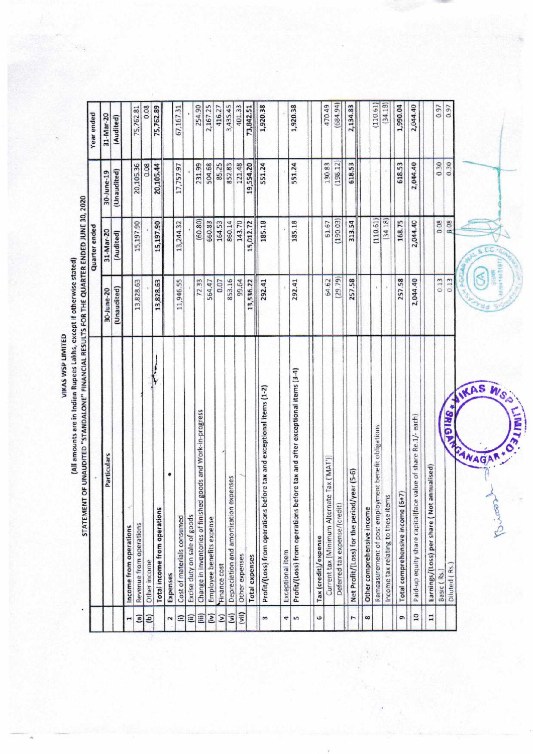(All amounts are in Indian Rupees Lakhs, except if otherwise stated)

 $(110.61)$ 470.49 0.97  $0.08$ 401.33 1,920.38 2,134.83  $(34.18)$ 0.97 75,762.89 2,167.25 1,920.38  $(684.94)$ 1,990.04 2,044.40 75,762.81 254.90 3,435.45 67,167.31 416.27 73,842.51 Year ended 31-Mar-20 (Audited) 0.30 0.08 504.68 85.25 121.48 551.24 551.24 130.83  $(198.12)$ 618.53 618.53 0.30 20,105.36 231.99 19,554.20 2,044.40 20,105.44 17,757.97 852.83 (Unaudited) 30-June-19 STATEMENT OF UNAUDITED "STANDALONE" FINANCIAL RESULTS FOR THE QUARTER ENDED JUNE 30, 2020  $(60.80)$  $(190.03)$  $(34.18)$ 168.75  $0.08$ 0.08 660.83 164.53 185.18 61.67 2,044.40  $(110.61)$ 15,197.90 15,197.90 13,244.32 15,012.72 860.14 143.70 185.18 313.54 **Quarter ended** 31-Mar-20 (Audited)  $(29.79)$  $0.13$ 853.16 257.58 2,044.40  $0.13$ 72.33 564.47 99.64 292.41 64.62 13,828.63 13,828.63 11,946.55 0.07 13,536.22 257.58 292.41 (Unaudited) 30-June-20  $\begin{array}{c|c|c|c|c} \hline \multicolumn{3}{c|}{\textbf{1}} & \multicolumn{3}{c|}{\textbf{2}} & \multicolumn{3}{c|}{\textbf{3}} & \multicolumn{3}{c|}{\textbf{4}} & \multicolumn{3}{c|}{\textbf{5}} & \multicolumn{3}{c|}{\textbf{6}} & \multicolumn{3}{c|}{\textbf{6}} & \multicolumn{3}{c|}{\textbf{6}} & \multicolumn{3}{c|}{\textbf{6}} & \multicolumn{3}{c|}{\textbf{6}} & \multicolumn{3}{c|}{\textbf{6}} & \multicolumn{3}{c|}{\textbf{6$ Profit/(Loss) from operations before tax and after exceptional items (3-4) KAS Profit/(Loss) from operations before tax and exceptional items (1-2) **SEIGHT ANAGAR** Change in inventories of finished goods and Work-in-progress Paid-up equity share capital(face value of share Re.1/- each) Remeasurement of post employment benefit obligations Particulars Current tax [Minimum Alternate Tax ('MAT')] Earnings/(Loss) per share (Not annualised) Net Profit/(Loss) for the period/year (5-6) ٠ Depreciation and amortization expenses Total comprehensive income (6+7) Income tax relating to these items Deferred tax expense/(credit) Other comprehensive income Total income from operations Excise duty on sale of goods Cost of materials consumed Employee benefits expense Revenue from operations Income from operations Tax (credit)/expense Exceptional item Other expenses **Total expenses** Other income Finance cost Diluted (Rs. Basic (Rs.) Expenses 10 Ê 4  $\overline{11}$  $(iv)$  $\widehat{\mathbf{z}}$  $\overline{5}$ G 8 (a)  $\overline{z}$  $\ddot{\phantom{1}}$ s o, ίв)  $\widehat{=}$ (ii) r  $\mathbf{r}$ 

W.S.O

Loor

**LIMITE** 

VIKAS WSP LIMITED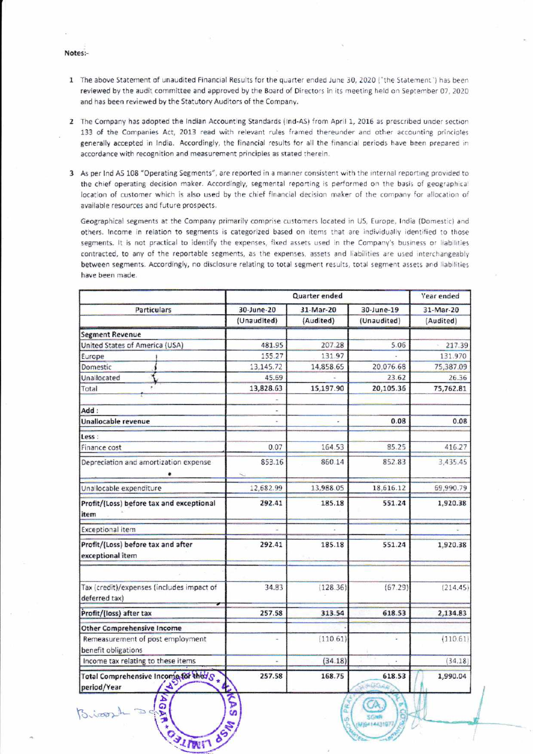Notes:-

Biossin

 $210011$ 

- 1 The above Statement of unaudited Financial Results for the quarter ended June 30, 2020 ("the Statement") has been reviewed by the audit committee and approved by the Board of Directors in its meeting held on September 07, 2020 and has been reviewed by the Statutory Auditors of the Company.
- 2 The Company has adopted the Indian Accounting Standards (Ind-AS) from April 1, 2016 as prescribed under section 133 of the Companies Act, 2013 read with relevant rules framed thereunder and other accounting principles generally accepted in India. Accordingly, the financial results for all the financial periods have been prepared in accordance with recognition and measurement principles as stated therein.
- 3 As per Ind AS 108 "Operating Segments", are reported in a manner consistent with the internal reporting provided to the chief operating decision maker. Accordingly, segmental reporting is performed on the basis of geographical location of customer which is also used by the chief financial decision maker of the company for allocation of available resources and future prospects.

Geographical segments at the Company primarily comprise customers located in US, Europe, India (Domestic) and others. Income in relation to segments is categorized based on items that are individually identified to those segments. It is not practical to identify the expenses, fixed assets used in the Company's business or liabilities contracted, to any of the reportable segments, as the expenses, assets and liabilities are used interchangeably between segments. Accordingly, no disclosure relating to total segment results, total segment assets and liabilities have been made.

| <b>Particulars</b>                                      |             | Quarter ended |               | <b>Year ended</b> |
|---------------------------------------------------------|-------------|---------------|---------------|-------------------|
|                                                         | 30-June-20  | 31-Mar-20     | 30-June-19    | 31-Mar-20         |
|                                                         | (Unaudited) | (Audited)     | (Unaudited)   | (Audited)         |
| <b>Segment Revenue</b>                                  |             |               |               |                   |
| United States of America (USA)                          | 481.95      | 207.28        | 5.06          | 217.39            |
| Europe                                                  | 155.27      | 131.97        |               | 131.970           |
| Domestic                                                | 13,145.72   | 14,858.65     | 20,076.68     | 75,387.09         |
| Unallocated                                             | 45.69       |               | 23.62         | 26.36             |
| Total                                                   | 13,828.63   | 15,197.90     | 20,105.36     | 75,762.81         |
|                                                         |             |               |               |                   |
| Add:                                                    | i.          |               |               |                   |
| Unallocable revenue                                     |             |               | 0.08          | 0.08              |
| Less :                                                  |             |               |               |                   |
| Finance cost                                            | 0.07        | 164.53        | 85.25         | 416.27            |
| Depreciation and amortization expense                   | 853.16      | 860.14        | 852.83        | 3,435.45          |
| Unallocable expenditure                                 | 12,682.99   | 13,988.05     | 18,616.12     | 69,990.79         |
| Profit/(Loss) before tax and exceptional<br>item        | 292.41      | 185.18        | 551.24        | 1,920.38          |
| <b>Exceptional item</b>                                 |             |               |               |                   |
| Profit/(Loss) before tax and after<br>exceptional item  | 292.41      | 185.18        | 551.24        | 1,920.38          |
| Tax (credit)/expenses (includes impact of               | 34.83       | (128.36)      | (67.29)       | (214.45)          |
| deferred tax)                                           |             |               |               |                   |
| Profit/(loss) after tax                                 | 257.58      | 313.54        | 618.53        | 2,134.83          |
| <b>Other Comprehensive Income</b>                       |             |               |               |                   |
| Remeasurement of post employment<br>benefit obligations |             | (110.61)      | ٤             | (110.61)          |
| Income tax relating to these items                      |             | (34.18)       |               | (34.18)           |
| Total Comprehensive Income for theys<br>period/Year     | 257.58      | 168.75        | 618.53<br>MOG | 1,990.04          |